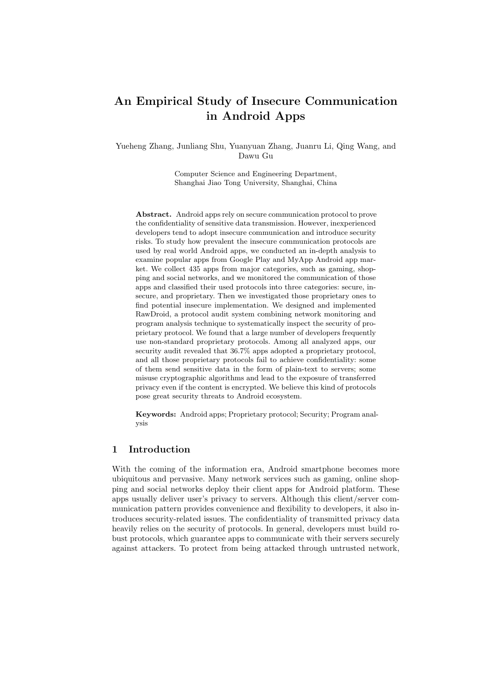# An Empirical Study of Insecure Communication in Android Apps

Yueheng Zhang, Junliang Shu, Yuanyuan Zhang, Juanru Li, Qing Wang, and Dawu Gu

> Computer Science and Engineering Department, Shanghai Jiao Tong University, Shanghai, China

Abstract. Android apps rely on secure communication protocol to prove the confidentiality of sensitive data transmission. However, inexperienced developers tend to adopt insecure communication and introduce security risks. To study how prevalent the insecure communication protocols are used by real world Android apps, we conducted an in-depth analysis to examine popular apps from Google Play and MyApp Android app market. We collect 435 apps from major categories, such as gaming, shopping and social networks, and we monitored the communication of those apps and classified their used protocols into three categories: secure, insecure, and proprietary. Then we investigated those proprietary ones to find potential insecure implementation. We designed and implemented RawDroid, a protocol audit system combining network monitoring and program analysis technique to systematically inspect the security of proprietary protocol. We found that a large number of developers frequently use non-standard proprietary protocols. Among all analyzed apps, our security audit revealed that 36.7% apps adopted a proprietary protocol, and all those proprietary protocols fail to achieve confidentiality: some of them send sensitive data in the form of plain-text to servers; some misuse cryptographic algorithms and lead to the exposure of transferred privacy even if the content is encrypted. We believe this kind of protocols pose great security threats to Android ecosystem.

Keywords: Android apps; Proprietary protocol; Security; Program analysis

# 1 Introduction

With the coming of the information era, Android smartphone becomes more ubiquitous and pervasive. Many network services such as gaming, online shopping and social networks deploy their client apps for Android platform. These apps usually deliver user's privacy to servers. Although this client/server communication pattern provides convenience and flexibility to developers, it also introduces security-related issues. The confidentiality of transmitted privacy data heavily relies on the security of protocols. In general, developers must build robust protocols, which guarantee apps to communicate with their servers securely against attackers. To protect from being attacked through untrusted network,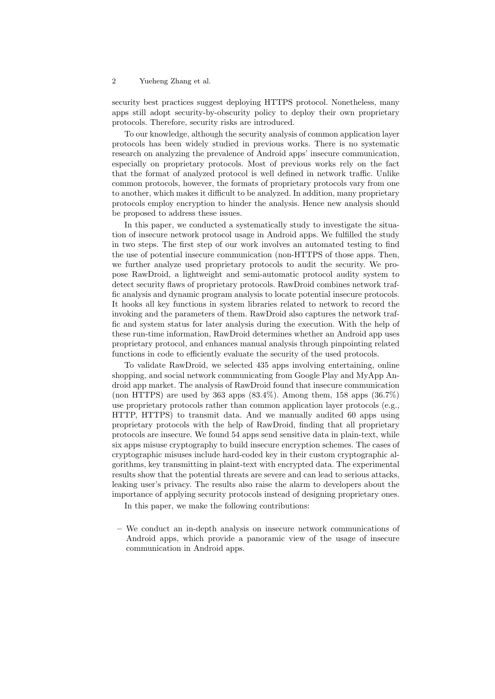security best practices suggest deploying HTTPS protocol. Nonetheless, many apps still adopt security-by-obscurity policy to deploy their own proprietary protocols. Therefore, security risks are introduced.

To our knowledge, although the security analysis of common application layer protocols has been widely studied in previous works. There is no systematic research on analyzing the prevalence of Android apps' insecure communication, especially on proprietary protocols. Most of previous works rely on the fact that the format of analyzed protocol is well defined in network traffic. Unlike common protocols, however, the formats of proprietary protocols vary from one to another, which makes it difficult to be analyzed. In addition, many proprietary protocols employ encryption to hinder the analysis. Hence new analysis should be proposed to address these issues.

In this paper, we conducted a systematically study to investigate the situation of insecure network protocol usage in Android apps. We fulfilled the study in two steps. The first step of our work involves an automated testing to find the use of potential insecure communication (non-HTTPS of those apps. Then, we further analyze used proprietary protocols to audit the security. We propose RawDroid, a lightweight and semi-automatic protocol audity system to detect security flaws of proprietary protocols. RawDroid combines network traffic analysis and dynamic program analysis to locate potential insecure protocols. It hooks all key functions in system libraries related to network to record the invoking and the parameters of them. RawDroid also captures the network traffic and system status for later analysis during the execution. With the help of these run-time information, RawDroid determines whether an Android app uses proprietary protocol, and enhances manual analysis through pinpointing related functions in code to efficiently evaluate the security of the used protocols.

To validate RawDroid, we selected 435 apps involving entertaining, online shopping, and social network communicating from Google Play and MyApp Android app market. The analysis of RawDroid found that insecure communication (non HTTPS) are used by  $363$  apps  $(83.4\%)$ . Among them,  $158$  apps  $(36.7\%)$ use proprietary protocols rather than common application layer protocols (e.g., HTTP, HTTPS) to transmit data. And we manually audited 60 apps using proprietary protocols with the help of RawDroid, finding that all proprietary protocols are insecure. We found 54 apps send sensitive data in plain-text, while six apps misuse cryptography to build insecure encryption schemes. The cases of cryptographic misuses include hard-coded key in their custom cryptographic algorithms, key transmitting in plaint-text with encrypted data. The experimental results show that the potential threats are severe and can lead to serious attacks, leaking user's privacy. The results also raise the alarm to developers about the importance of applying security protocols instead of designing proprietary ones.

In this paper, we make the following contributions:

– We conduct an in-depth analysis on insecure network communications of Android apps, which provide a panoramic view of the usage of insecure communication in Android apps.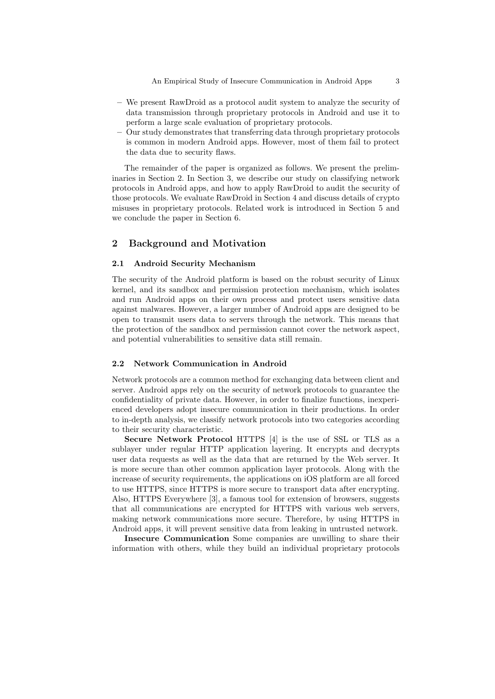An Empirical Study of Insecure Communication in Android Apps 3

- We present RawDroid as a protocol audit system to analyze the security of data transmission through proprietary protocols in Android and use it to perform a large scale evaluation of proprietary protocols.
- Our study demonstrates that transferring data through proprietary protocols is common in modern Android apps. However, most of them fail to protect the data due to security flaws.

The remainder of the paper is organized as follows. We present the preliminaries in Section 2. In Section 3, we describe our study on classifying network protocols in Android apps, and how to apply RawDroid to audit the security of those protocols. We evaluate RawDroid in Section 4 and discuss details of crypto misuses in proprietary protocols. Related work is introduced in Section 5 and we conclude the paper in Section 6.

# 2 Background and Motivation

## 2.1 Android Security Mechanism

The security of the Android platform is based on the robust security of Linux kernel, and its sandbox and permission protection mechanism, which isolates and run Android apps on their own process and protect users sensitive data against malwares. However, a larger number of Android apps are designed to be open to transmit users data to servers through the network. This means that the protection of the sandbox and permission cannot cover the network aspect, and potential vulnerabilities to sensitive data still remain.

## 2.2 Network Communication in Android

Network protocols are a common method for exchanging data between client and server. Android apps rely on the security of network protocols to guarantee the confidentiality of private data. However, in order to finalize functions, inexperienced developers adopt insecure communication in their productions. In order to in-depth analysis, we classify network protocols into two categories according to their security characteristic.

Secure Network Protocol HTTPS [4] is the use of SSL or TLS as a sublayer under regular HTTP application layering. It encrypts and decrypts user data requests as well as the data that are returned by the Web server. It is more secure than other common application layer protocols. Along with the increase of security requirements, the applications on iOS platform are all forced to use HTTPS, since HTTPS is more secure to transport data after encrypting. Also, HTTPS Everywhere [3], a famous tool for extension of browsers, suggests that all communications are encrypted for HTTPS with various web servers, making network communications more secure. Therefore, by using HTTPS in Android apps, it will prevent sensitive data from leaking in untrusted network.

Insecure Communication Some companies are unwilling to share their information with others, while they build an individual proprietary protocols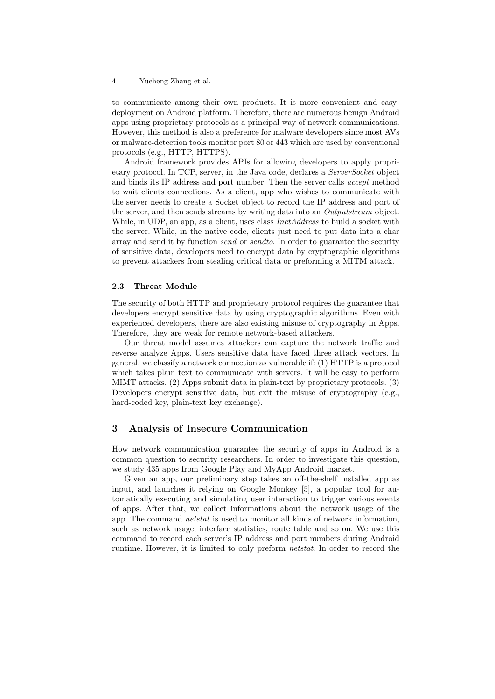to communicate among their own products. It is more convenient and easydeployment on Android platform. Therefore, there are numerous benign Android apps using proprietary protocols as a principal way of network communications. However, this method is also a preference for malware developers since most AVs or malware-detection tools monitor port 80 or 443 which are used by conventional protocols (e.g., HTTP, HTTPS).

Android framework provides APIs for allowing developers to apply proprietary protocol. In TCP, server, in the Java code, declares a ServerSocket object and binds its IP address and port number. Then the server calls accept method to wait clients connections. As a client, app who wishes to communicate with the server needs to create a Socket object to record the IP address and port of the server, and then sends streams by writing data into an *Outputstream* object. While, in UDP, an app, as a client, uses class InetAddress to build a socket with the server. While, in the native code, clients just need to put data into a char array and send it by function send or sendto. In order to guarantee the security of sensitive data, developers need to encrypt data by cryptographic algorithms to prevent attackers from stealing critical data or preforming a MITM attack.

## 2.3 Threat Module

The security of both HTTP and proprietary protocol requires the guarantee that developers encrypt sensitive data by using cryptographic algorithms. Even with experienced developers, there are also existing misuse of cryptography in Apps. Therefore, they are weak for remote network-based attackers.

Our threat model assumes attackers can capture the network traffic and reverse analyze Apps. Users sensitive data have faced three attack vectors. In general, we classify a network connection as vulnerable if: (1) HTTP is a protocol which takes plain text to communicate with servers. It will be easy to perform MIMT attacks. (2) Apps submit data in plain-text by proprietary protocols. (3) Developers encrypt sensitive data, but exit the misuse of cryptography (e.g., hard-coded key, plain-text key exchange).

# 3 Analysis of Insecure Communication

How network communication guarantee the security of apps in Android is a common question to security researchers. In order to investigate this question, we study 435 apps from Google Play and MyApp Android market.

Given an app, our preliminary step takes an off-the-shelf installed app as input, and launches it relying on Google Monkey [5], a popular tool for automatically executing and simulating user interaction to trigger various events of apps. After that, we collect informations about the network usage of the app. The command netstat is used to monitor all kinds of network information, such as network usage, interface statistics, route table and so on. We use this command to record each server's IP address and port numbers during Android runtime. However, it is limited to only preform *netstat*. In order to record the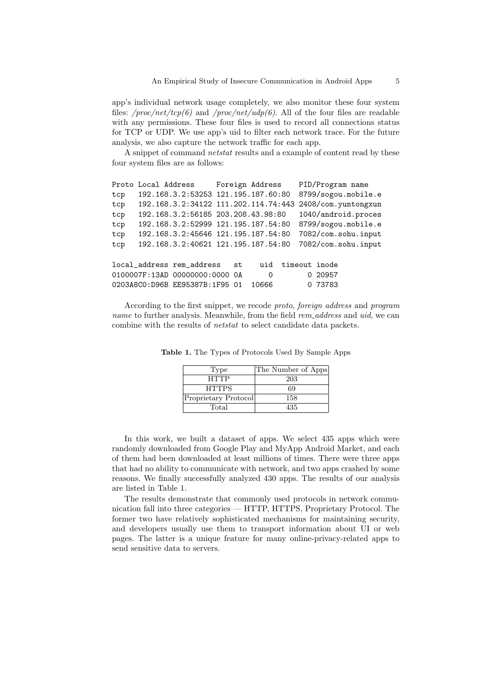app's individual network usage completely, we also monitor these four system files: /proc/net/tcp(6) and /proc/net/udp(6). All of the four files are readable with any permissions. These four files is used to record all connections status for TCP or UDP. We use app's uid to filter each network trace. For the future analysis, we also capture the network traffic for each app.

A snippet of command netstat results and a example of content read by these four system files are as follows:

```
Proto Local Address Foreign Address PID/Program name
tcp 192.168.3.2:53253 121.195.187.60:80 8799/sogou.mobile.e
tcp 192.168.3.2:34122 111.202.114.74:443 2408/com.yuntongxun
tcp 192.168.3.2:56185 203.208.43.98:80 1040/android.proces
tcp 192.168.3.2:52999 121.195.187.54:80 8799/sogou.mobile.e
tcp 192.168.3.2:45646 121.195.187.54:80 7082/com.sohu.input
tcp 192.168.3.2:40621 121.195.187.54:80 7082/com.sohu.input
local_address rem_address st uid timeout inode
0100007F:13AD 00000000:0000 0A 0 0 20957
0203A8C0:D96B EE95387B:1F95 01 10666 0 73783
```
According to the first snippet, we recode proto, foreign address and program name to further analysis. Meanwhile, from the field rem\_address and uid, we can combine with the results of netstat to select candidate data packets.

| Type                 | The Number of Apps |
|----------------------|--------------------|
| <b>HTTP</b>          | 203                |
| <b>HTTPS</b>         | 69                 |
| Proprietary Protocol | 158                |
| Total                | 435                |

Table 1. The Types of Protocols Used By Sample Apps

In this work, we built a dataset of apps. We select 435 apps which were randomly downloaded from Google Play and MyApp Android Market, and each of them had been downloaded at least millions of times. There were three apps that had no ability to communicate with network, and two apps crashed by some reasons. We finally successfully analyzed 430 apps. The results of our analysis are listed in Table 1.

The results demonstrate that commonly used protocols in network communication fall into three categories — HTTP, HTTPS, Proprietary Protocol. The former two have relatively sophisticated mechanisms for maintaining security, and developers usually use them to transport information about UI or web pages. The latter is a unique feature for many online-privacy-related apps to send sensitive data to servers.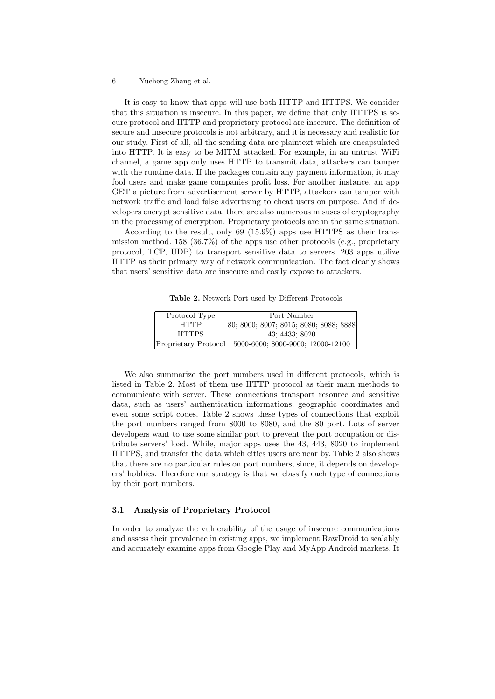It is easy to know that apps will use both HTTP and HTTPS. We consider that this situation is insecure. In this paper, we define that only HTTPS is secure protocol and HTTP and proprietary protocol are insecure. The definition of secure and insecure protocols is not arbitrary, and it is necessary and realistic for our study. First of all, all the sending data are plaintext which are encapsulated into HTTP. It is easy to be MITM attacked. For example, in an untrust WiFi channel, a game app only uses HTTP to transmit data, attackers can tamper with the runtime data. If the packages contain any payment information, it may fool users and make game companies profit loss. For another instance, an app GET a picture from advertisement server by HTTP, attackers can tamper with network traffic and load false advertising to cheat users on purpose. And if developers encrypt sensitive data, there are also numerous misuses of cryptography in the processing of encryption. Proprietary protocols are in the same situation.

According to the result, only 69 (15.9%) apps use HTTPS as their transmission method. 158 (36.7%) of the apps use other protocols (e.g., proprietary protocol, TCP, UDP) to transport sensitive data to servers. 203 apps utilize HTTP as their primary way of network communication. The fact clearly shows that users' sensitive data are insecure and easily expose to attackers.

Table 2. Network Port used by Different Protocols

| Protocol Type        | Port Number                            |
|----------------------|----------------------------------------|
| HTTP                 | 80; 8000; 8007; 8015; 8080; 8088; 8888 |
| <b>HTTPS</b>         | 43: 4433: 8020                         |
| Proprietary Protocol | 5000-6000; 8000-9000; 12000-12100      |

We also summarize the port numbers used in different protocols, which is listed in Table 2. Most of them use HTTP protocol as their main methods to communicate with server. These connections transport resource and sensitive data, such as users' authentication informations, geographic coordinates and even some script codes. Table 2 shows these types of connections that exploit the port numbers ranged from 8000 to 8080, and the 80 port. Lots of server developers want to use some similar port to prevent the port occupation or distribute servers' load. While, major apps uses the 43, 443, 8020 to implement HTTPS, and transfer the data which cities users are near by. Table 2 also shows that there are no particular rules on port numbers, since, it depends on developers' hobbies. Therefore our strategy is that we classify each type of connections by their port numbers.

#### 3.1 Analysis of Proprietary Protocol

In order to analyze the vulnerability of the usage of insecure communications and assess their prevalence in existing apps, we implement RawDroid to scalably and accurately examine apps from Google Play and MyApp Android markets. It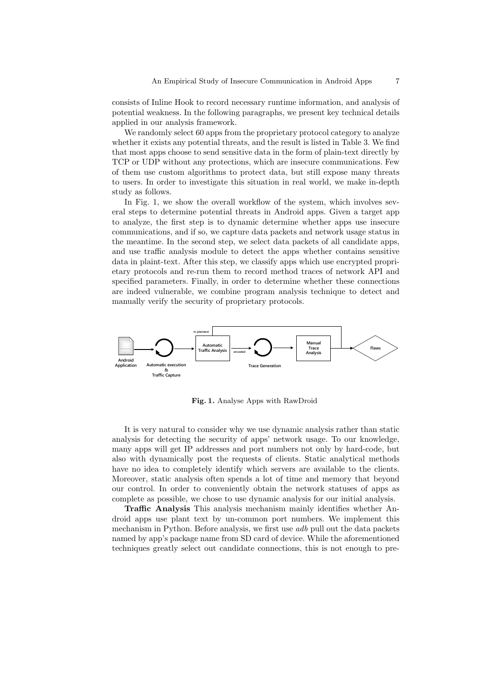consists of Inline Hook to record necessary runtime information, and analysis of potential weakness. In the following paragraphs, we present key technical details applied in our analysis framework.

We randomly select 60 apps from the proprietary protocol category to analyze whether it exists any potential threats, and the result is listed in Table 3. We find that most apps choose to send sensitive data in the form of plain-text directly by TCP or UDP without any protections, which are insecure communications. Few of them use custom algorithms to protect data, but still expose many threats to users. In order to investigate this situation in real world, we make in-depth study as follows.

In Fig. 1, we show the overall workflow of the system, which involves several steps to determine potential threats in Android apps. Given a target app to analyze, the first step is to dynamic determine whether apps use insecure communications, and if so, we capture data packets and network usage status in the meantime. In the second step, we select data packets of all candidate apps, and use traffic analysis module to detect the apps whether contains sensitive data in plaint-text. After this step, we classify apps which use encrypted proprietary protocols and re-run them to record method traces of network API and specified parameters. Finally, in order to determine whether these connections are indeed vulnerable, we combine program analysis technique to detect and manually verify the security of proprietary protocols.



Fig. 1. Analyse Apps with RawDroid

It is very natural to consider why we use dynamic analysis rather than static analysis for detecting the security of apps' network usage. To our knowledge, many apps will get IP addresses and port numbers not only by hard-code, but also with dynamically post the requests of clients. Static analytical methods have no idea to completely identify which servers are available to the clients. Moreover, static analysis often spends a lot of time and memory that beyond our control. In order to conveniently obtain the network statuses of apps as complete as possible, we chose to use dynamic analysis for our initial analysis.

Traffic Analysis This analysis mechanism mainly identifies whether Android apps use plant text by un-common port numbers. We implement this mechanism in Python. Before analysis, we first use *adb* pull out the data packets named by app's package name from SD card of device. While the aforementioned techniques greatly select out candidate connections, this is not enough to pre-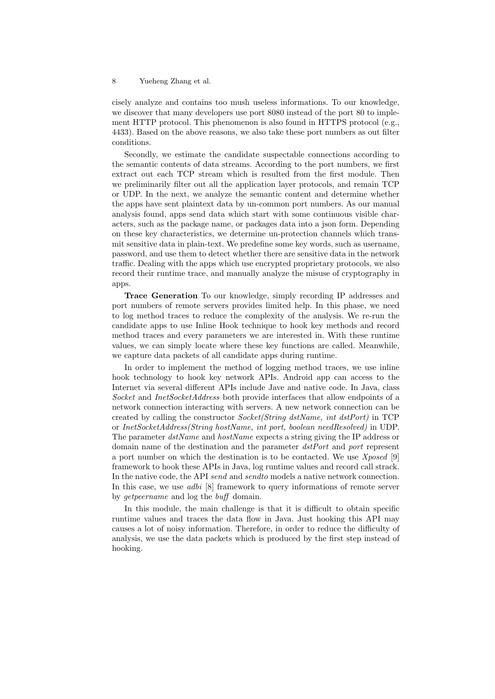cisely analyze and contains too mush useless informations. To our knowledge, we discover that many developers use port 8080 instead of the port 80 to implement HTTP protocol. This phenomenon is also found in HTTPS protocol (e.g., 4433). Based on the above reasons, we also take these port numbers as out filter conditions.

Secondly, we estimate the candidate suspectable connections according to the semantic contents of data streams. According to the port numbers, we first extract out each TCP stream which is resulted from the first module. Then we preliminarily filter out all the application layer protocols, and remain TCP or UDP. In the next, we analyze the semantic content and determine whether the apps have sent plaintext data by un-common port numbers. As our manual analysis found, apps send data which start with some continuous visible characters, such as the package name, or packages data into a json form. Depending on these key characteristics, we determine un-protection channels which transmit sensitive data in plain-text. We predefine some key words, such as username, password, and use them to detect whether there are sensitive data in the network traffic. Dealing with the apps which use encrypted proprietary protocols, we also record their runtime trace, and manually analyze the misuse of cryptography in apps.

Trace Generation To our knowledge, simply recording IP addresses and port numbers of remote servers provides limited help. In this phase, we need to log method traces to reduce the complexity of the analysis. We re-run the candidate apps to use Inline Hook technique to hook key methods and record method traces and every parameters we are interested in. With these runtime values, we can simply locate where these key functions are called. Meanwhile, we capture data packets of all candidate apps during runtime.

In order to implement the method of logging method traces, we use inline hook technology to hook key network APIs. Android app can access to the Internet via several different APIs include Jave and native code. In Java, class Socket and InetSocketAddress both provide interfaces that allow endpoints of a network connection interacting with servers. A new network connection can be created by calling the constructor Socket(String dstName, int dstPort) in TCP or InetSocketAddress(String hostName, int port, boolean needResolved) in UDP. The parameter dstName and hostName expects a string giving the IP address or domain name of the destination and the parameter dstPort and port represent a port number on which the destination is to be contacted. We use  $Xposed$  [9] framework to hook these APIs in Java, log runtime values and record call strack. In the native code, the API send and send to models a native network connection. In this case, we use *adbi* [8] framework to query informations of remote server by getpeername and log the buff domain.

In this module, the main challenge is that it is difficult to obtain specific runtime values and traces the data flow in Java. Just hooking this API may causes a lot of noisy information. Therefore, in order to reduce the difficulty of analysis, we use the data packets which is produced by the first step instead of hooking.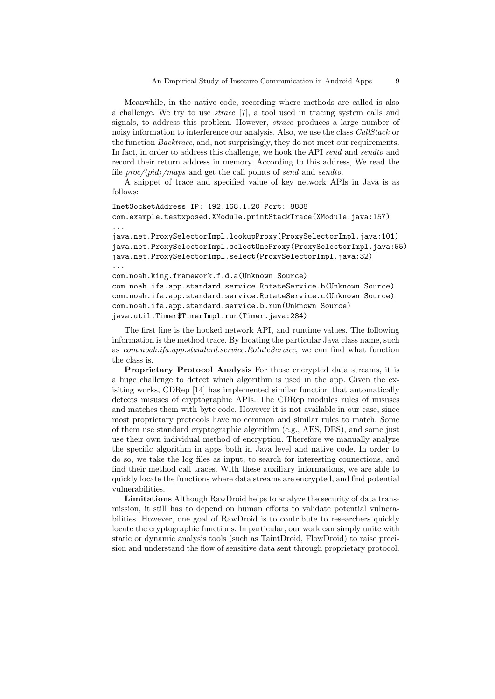Meanwhile, in the native code, recording where methods are called is also a challenge. We try to use strace [7], a tool used in tracing system calls and signals, to address this problem. However, strace produces a large number of noisy information to interference our analysis. Also, we use the class CallStack or the function Backtrace, and, not surprisingly, they do not meet our requirements. In fact, in order to address this challenge, we hook the API send and sendto and record their return address in memory. According to this address, We read the file  $proc/\langle pid \rangle$ /maps and get the call points of send and sendto.

A snippet of trace and specified value of key network APIs in Java is as follows:

```
InetSocketAddress IP: 192.168.1.20 Port: 8888
com.example.testxposed.XModule.printStackTrace(XModule.java:157)
...
java.net.ProxySelectorImpl.lookupProxy(ProxySelectorImpl.java:101)
java.net.ProxySelectorImpl.selectOneProxy(ProxySelectorImpl.java:55)
java.net.ProxySelectorImpl.select(ProxySelectorImpl.java:32)
...
com.noah.king.framework.f.d.a(Unknown Source)
com.noah.ifa.app.standard.service.RotateService.b(Unknown Source)
com.noah.ifa.app.standard.service.RotateService.c(Unknown Source)
com.noah.ifa.app.standard.service.b.run(Unknown Source)
java.util.Timer$TimerImpl.run(Timer.java:284)
```
The first line is the hooked network API, and runtime values. The following information is the method trace. By locating the particular Java class name, such as com.noah.ifa.app.standard.service.RotateService, we can find what function the class is.

Proprietary Protocol Analysis For those encrypted data streams, it is a huge challenge to detect which algorithm is used in the app. Given the exisiting works, CDRep [14] has implemented similar function that automatically detects misuses of cryptographic APIs. The CDRep modules rules of misuses and matches them with byte code. However it is not available in our case, since most proprietary protocols have no common and similar rules to match. Some of them use standard cryptographic algorithm (e.g., AES, DES), and some just use their own individual method of encryption. Therefore we manually analyze the specific algorithm in apps both in Java level and native code. In order to do so, we take the log files as input, to search for interesting connections, and find their method call traces. With these auxiliary informations, we are able to quickly locate the functions where data streams are encrypted, and find potential vulnerabilities.

Limitations Although RawDroid helps to analyze the security of data transmission, it still has to depend on human efforts to validate potential vulnerabilities. However, one goal of RawDroid is to contribute to researchers quickly locate the cryptographic functions. In particular, our work can simply unite with static or dynamic analysis tools (such as TaintDroid, FlowDroid) to raise precision and understand the flow of sensitive data sent through proprietary protocol.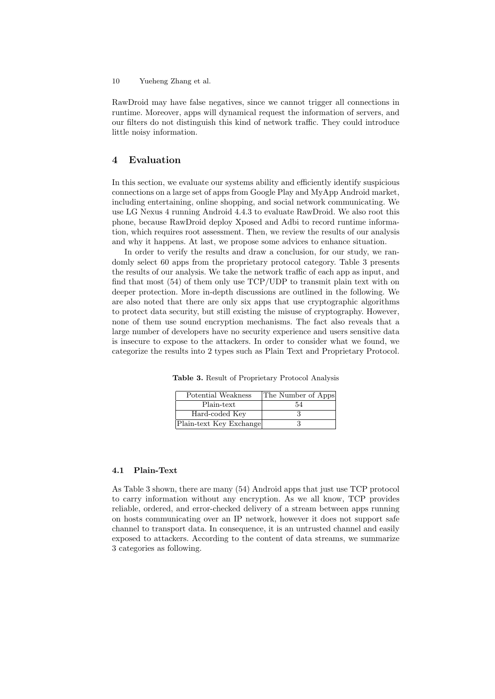RawDroid may have false negatives, since we cannot trigger all connections in runtime. Moreover, apps will dynamical request the information of servers, and our filters do not distinguish this kind of network traffic. They could introduce little noisy information.

## 4 Evaluation

In this section, we evaluate our systems ability and efficiently identify suspicious connections on a large set of apps from Google Play and MyApp Android market, including entertaining, online shopping, and social network communicating. We use LG Nexus 4 running Android 4.4.3 to evaluate RawDroid. We also root this phone, because RawDroid deploy Xposed and Adbi to record runtime information, which requires root assessment. Then, we review the results of our analysis and why it happens. At last, we propose some advices to enhance situation.

In order to verify the results and draw a conclusion, for our study, we randomly select 60 apps from the proprietary protocol category. Table 3 presents the results of our analysis. We take the network traffic of each app as input, and find that most (54) of them only use TCP/UDP to transmit plain text with on deeper protection. More in-depth discussions are outlined in the following. We are also noted that there are only six apps that use cryptographic algorithms to protect data security, but still existing the misuse of cryptography. However, none of them use sound encryption mechanisms. The fact also reveals that a large number of developers have no security experience and users sensitive data is insecure to expose to the attackers. In order to consider what we found, we categorize the results into 2 types such as Plain Text and Proprietary Protocol.

Table 3. Result of Proprietary Protocol Analysis

| Potential Weakness      | The Number of Apps |
|-------------------------|--------------------|
| Plain-text              | 54                 |
| Hard-coded Key          |                    |
| Plain-text Key Exchange |                    |

## 4.1 Plain-Text

As Table 3 shown, there are many (54) Android apps that just use TCP protocol to carry information without any encryption. As we all know, TCP provides reliable, ordered, and error-checked delivery of a stream between apps running on hosts communicating over an IP network, however it does not support safe channel to transport data. In consequence, it is an untrusted channel and easily exposed to attackers. According to the content of data streams, we summarize 3 categories as following.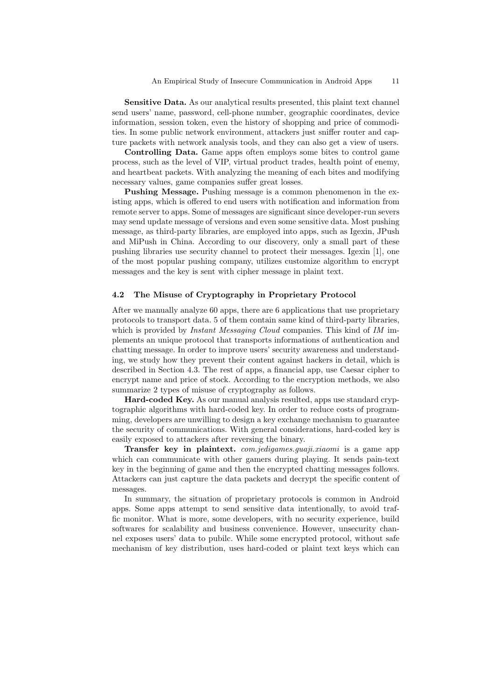Sensitive Data. As our analytical results presented, this plaint text channel send users' name, password, cell-phone number, geographic coordinates, device information, session token, even the history of shopping and price of commodities. In some public network environment, attackers just sniffer router and capture packets with network analysis tools, and they can also get a view of users.

Controlling Data. Game apps often employs some bites to control game process, such as the level of VIP, virtual product trades, health point of enemy, and heartbeat packets. With analyzing the meaning of each bites and modifying necessary values, game companies suffer great losses.

Pushing Message. Pushing message is a common phenomenon in the existing apps, which is offered to end users with notification and information from remote server to apps. Some of messages are significant since developer-run severs may send update message of versions and even some sensitive data. Most pushing message, as third-party libraries, are employed into apps, such as Igexin, JPush and MiPush in China. According to our discovery, only a small part of these pushing libraries use security channel to protect their messages. Igexin [1], one of the most popular pushing company, utilizes customize algorithm to encrypt messages and the key is sent with cipher message in plaint text.

# 4.2 The Misuse of Cryptography in Proprietary Protocol

After we manually analyze 60 apps, there are 6 applications that use proprietary protocols to transport data. 5 of them contain same kind of third-party libraries, which is provided by *Instant Messaging Cloud* companies. This kind of IM implements an unique protocol that transports informations of authentication and chatting message. In order to improve users' security awareness and understanding, we study how they prevent their content against hackers in detail, which is described in Section 4.3. The rest of apps, a financial app, use Caesar cipher to encrypt name and price of stock. According to the encryption methods, we also summarize 2 types of misuse of cryptography as follows.

Hard-coded Key. As our manual analysis resulted, apps use standard cryptographic algorithms with hard-coded key. In order to reduce costs of programming, developers are unwilling to design a key exchange mechanism to guarantee the security of communications. With general considerations, hard-coded key is easily exposed to attackers after reversing the binary.

Transfer key in plaintext. com.jedigames.guaji.xiaomi is a game app which can communicate with other gamers during playing. It sends pain-text key in the beginning of game and then the encrypted chatting messages follows. Attackers can just capture the data packets and decrypt the specific content of messages.

In summary, the situation of proprietary protocols is common in Android apps. Some apps attempt to send sensitive data intentionally, to avoid traffic monitor. What is more, some developers, with no security experience, build softwares for scalability and business convenience. However, unsecurity channel exposes users' data to pubilc. While some encrypted protocol, without safe mechanism of key distribution, uses hard-coded or plaint text keys which can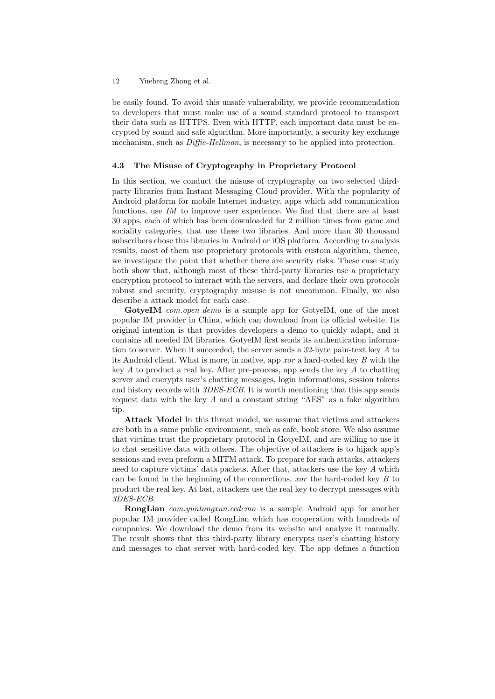be easily found. To avoid this unsafe vulnerability, we provide recommendation to developers that must make use of a sound standard protocol to transport their data such as HTTPS. Even with HTTP, each important data must be encrypted by sound and safe algorithm. More importantly, a security key exchange mechanism, such as  $\text{Diffie-Hellman}$ , is necessary to be applied into protection.

#### 4.3 The Misuse of Cryptography in Proprietary Protocol

In this section, we conduct the misuse of cryptography on two selected thirdparty libraries from Instant Messaging Cloud provider. With the popularity of Android platform for mobile Internet industry, apps which add communication functions, use IM to improve user experience. We find that there are at least 30 apps, each of which has been downloaded for 2 million times from game and sociality categories, that use these two libraries. And more than 30 thousand subscribers chose this libraries in Android or iOS platform. According to analysis results, most of them use proprietary protocols with custom algorithm, thence, we investigate the point that whether there are security risks. These case study both show that, although most of these third-party libraries use a proprietary encryption protocol to interact with the servers, and declare their own protocols robust and security, cryptography misuse is not uncommon. Finally, we also describe a attack model for each case.

GotyeIM com.open\_demo is a sample app for GotyeIM, one of the most popular IM provider in China, which can download from its official website. Its original intention is that provides developers a demo to quickly adapt, and it contains all needed IM libraries. GotyeIM first sends its authentication information to server. When it succeeded, the server sends a 32-byte pain-text key A to its Android client. What is more, in native, app xor a hard-coded key B with the key  $A$  to product a real key. After pre-process, app sends the key  $A$  to chatting server and encrypts user's chatting messages, login informations, session tokens and history records with 3DES-ECB. It is worth mentioning that this app sends request data with the key A and a constant string "AES" as a fake algorithm tip.

Attack Model In this threat model, we assume that victims and attackers are both in a same public environment, such as cafe, book store. We also assume that victims trust the proprietary protocol in GotyeIM, and are willing to use it to chat sensitive data with others. The objective of attackers is to hijack app's sessions and even preform a MITM attack. To prepare for such attacks, attackers need to capture victims' data packets. After that, attackers use the key A which can be found in the beginning of the connections, xor the hard-coded key B to product the real key. At last, attackers use the real key to decrypt messages with 3DES-ECB.

RongLian com.yuntongxun.ecdemo is a sample Android app for another popular IM provider called RongLian which has cooperation with hundreds of companies. We download the demo from its website and analyze it manually. The result shows that this third-party library encrypts user's chatting history and messages to chat server with hard-coded key. The app defines a function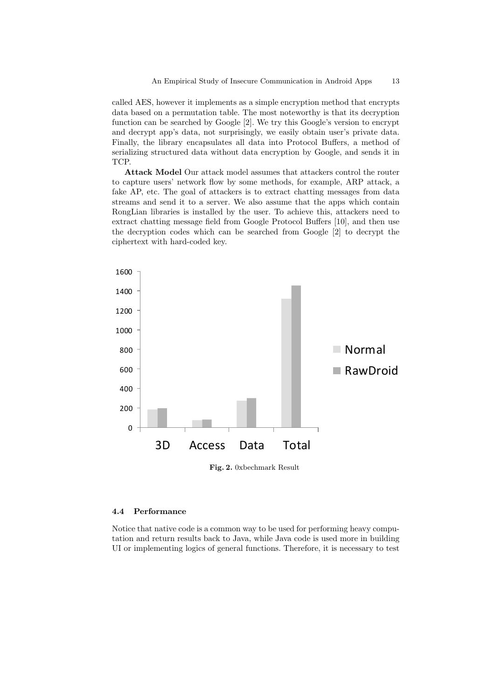called AES, however it implements as a simple encryption method that encrypts data based on a permutation table. The most noteworthy is that its decryption function can be searched by Google [2]. We try this Google's version to encrypt and decrypt app's data, not surprisingly, we easily obtain user's private data. Finally, the library encapsulates all data into Protocol Buffers, a method of serializing structured data without data encryption by Google, and sends it in TCP.

Attack Model Our attack model assumes that attackers control the router to capture users' network flow by some methods, for example, ARP attack, a fake AP, etc. The goal of attackers is to extract chatting messages from data streams and send it to a server. We also assume that the apps which contain RongLian libraries is installed by the user. To achieve this, attackers need to extract chatting message field from Google Protocol Buffers [10], and then use the decryption codes which can be searched from Google [2] to decrypt the ciphertext with hard-coded key.



Fig. 2. 0xbechmark Result

## 4.4 Performance

Notice that native code is a common way to be used for performing heavy computation and return results back to Java, while Java code is used more in building UI or implementing logics of general functions. Therefore, it is necessary to test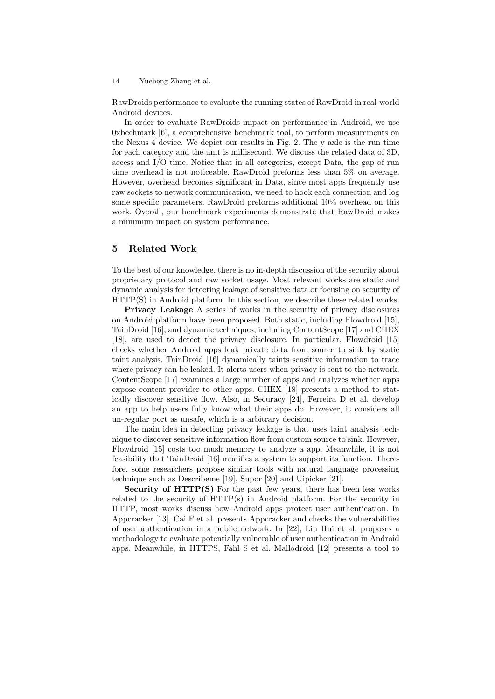RawDroids performance to evaluate the running states of RawDroid in real-world Android devices.

In order to evaluate RawDroids impact on performance in Android, we use 0xbechmark [6], a comprehensive benchmark tool, to perform measurements on the Nexus 4 device. We depict our results in Fig. 2. The y axle is the run time for each category and the unit is millisecond. We discuss the related data of 3D, access and I/O time. Notice that in all categories, except Data, the gap of run time overhead is not noticeable. RawDroid preforms less than 5% on average. However, overhead becomes significant in Data, since most apps frequently use raw sockets to network communication, we need to hook each connection and log some specific parameters. RawDroid preforms additional 10% overhead on this work. Overall, our benchmark experiments demonstrate that RawDroid makes a minimum impact on system performance.

## 5 Related Work

To the best of our knowledge, there is no in-depth discussion of the security about proprietary protocol and raw socket usage. Most relevant works are static and dynamic analysis for detecting leakage of sensitive data or focusing on security of HTTP(S) in Android platform. In this section, we describe these related works.

Privacy Leakage A series of works in the security of privacy disclosures on Android platform have been proposed. Both static, including Flowdroid [15], TainDroid [16], and dynamic techniques, including ContentScope [17] and CHEX [18], are used to detect the privacy disclosure. In particular, Flowdroid [15] checks whether Android apps leak private data from source to sink by static taint analysis. TainDroid [16] dynamically taints sensitive information to trace where privacy can be leaked. It alerts users when privacy is sent to the network. ContentScope [17] examines a large number of apps and analyzes whether apps expose content provider to other apps. CHEX [18] presents a method to statically discover sensitive flow. Also, in Securacy [24], Ferreira D et al. develop an app to help users fully know what their apps do. However, it considers all un-regular port as unsafe, which is a arbitrary decision.

The main idea in detecting privacy leakage is that uses taint analysis technique to discover sensitive information flow from custom source to sink. However, Flowdroid [15] costs too mush memory to analyze a app. Meanwhile, it is not feasibility that TainDroid [16] modifies a system to support its function. Therefore, some researchers propose similar tools with natural language processing technique such as Describeme [19], Supor [20] and Uipicker [21].

Security of HTTP(S) For the past few years, there has been less works related to the security of HTTP(s) in Android platform. For the security in HTTP, most works discuss how Android apps protect user authentication. In Appcracker [13], Cai F et al. presents Appcracker and checks the vulnerabilities of user authentication in a public network. In [22], Liu Hui et al. proposes a methodology to evaluate potentially vulnerable of user authentication in Android apps. Meanwhile, in HTTPS, Fahl S et al. Mallodroid [12] presents a tool to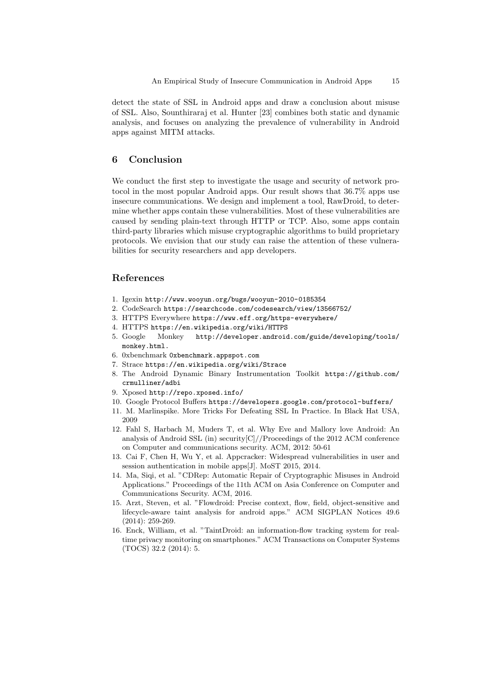detect the state of SSL in Android apps and draw a conclusion about misuse of SSL. Also, Sounthiraraj et al. Hunter [23] combines both static and dynamic analysis, and focuses on analyzing the prevalence of vulnerability in Android apps against MITM attacks.

## 6 Conclusion

We conduct the first step to investigate the usage and security of network protocol in the most popular Android apps. Our result shows that 36.7% apps use insecure communications. We design and implement a tool, RawDroid, to determine whether apps contain these vulnerabilities. Most of these vulnerabilities are caused by sending plain-text through HTTP or TCP. Also, some apps contain third-party libraries which misuse cryptographic algorithms to build proprietary protocols. We envision that our study can raise the attention of these vulnerabilities for security researchers and app developers.

# References

- 1. Igexin http://www.wooyun.org/bugs/wooyun-2010-0185354
- 2. CodeSearch https://searchcode.com/codesearch/view/13566752/
- 3. HTTPS Everywhere https://www.eff.org/https-everywhere/
- 4. HTTPS https://en.wikipedia.org/wiki/HTTPS
- 5. Google Monkey http://developer.android.com/guide/developing/tools/ monkey.html.
- 6. 0xbenchmark 0xbenchmark.appspot.com
- 7. Strace https://en.wikipedia.org/wiki/Strace
- 8. The Android Dynamic Binary Instrumentation Toolkit https://github.com/ crmulliner/adbi
- 9. Xposed http://repo.xposed.info/
- 10. Google Protocol Buffers https://developers.google.com/protocol-buffers/
- 11. M. Marlinspike. More Tricks For Defeating SSL In Practice. In Black Hat USA, 2009
- 12. Fahl S, Harbach M, Muders T, et al. Why Eve and Mallory love Android: An analysis of Android SSL (in) security[C]//Proceedings of the 2012 ACM conference on Computer and communications security. ACM, 2012: 50-61
- 13. Cai F, Chen H, Wu Y, et al. Appcracker: Widespread vulnerabilities in user and session authentication in mobile apps[J]. MoST 2015, 2014.
- 14. Ma, Siqi, et al. "CDRep: Automatic Repair of Cryptographic Misuses in Android Applications." Proceedings of the 11th ACM on Asia Conference on Computer and Communications Security. ACM, 2016.
- 15. Arzt, Steven, et al. "Flowdroid: Precise context, flow, field, object-sensitive and lifecycle-aware taint analysis for android apps." ACM SIGPLAN Notices 49.6 (2014): 259-269.
- 16. Enck, William, et al. "TaintDroid: an information-flow tracking system for realtime privacy monitoring on smartphones." ACM Transactions on Computer Systems (TOCS) 32.2 (2014): 5.